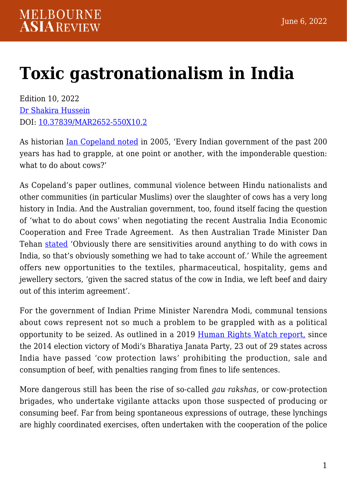## **[Toxic gastronationalism in India](https://melbourneasiareview.edu.au/toxic-gastronationalism-in-india/)**

Edition 10, 2022 [Dr Shakira Hussein](https://findanexpert.unimelb.edu.au/profile/343615-shakira-hussein) DOI: 10.37839/MAR2652-550X10.2

As historian [Ian Copeland noted](https://www.jstor.org/stable/20181856?seq=1) in 2005, 'Every Indian government of the past 200 years has had to grapple, at one point or another, with the imponderable question: what to do about cows?'

As Copeland's paper outlines, communal violence between Hindu nationalists and other communities (in particular Muslims) over the slaughter of cows has a very long history in India. And the Australian government, too, found itself facing the question of 'what to do about cows' when negotiating the recent Australia India Economic Cooperation and Free Trade Agreement. As then Australian Trade Minister Dan Tehan [stated](https://www.nriaffairs.com/this-is-why-beef-was-not-included-in-india-australia-ecta/) 'Obviously there are sensitivities around anything to do with cows in India, so that's obviously something we had to take account of.' While the agreement offers new opportunities to the textiles, pharmaceutical, hospitality, gems and jewellery sectors, 'given the sacred status of the cow in India, we left beef and dairy out of this interim agreement'.

For the government of Indian Prime Minister Narendra Modi, communal tensions about cows represent not so much a problem to be grappled with as a political opportunity to be seized. As outlined in a 2019 [Human Rights Watch report,](https://www.hrw.org/report/2019/02/18/violent-cow-protection-india/vigilante-groups-attack-minorities) since the 2014 election victory of Modi's Bharatiya Janata Party, 23 out of 29 states across India have passed 'cow protection laws' prohibiting the production, sale and consumption of beef, with penalties ranging from fines to life sentences.

More dangerous still has been the rise of so-called *gau rakshas*, or cow-protection brigades, who undertake vigilante attacks upon those suspected of producing or consuming beef. Far from being spontaneous expressions of outrage, these lynchings are highly coordinated exercises, often undertaken with the cooperation of the police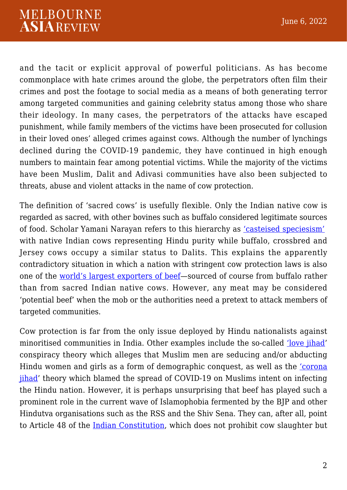and the tacit or explicit approval of powerful politicians. As has become commonplace with hate crimes around the globe, the perpetrators often film their crimes and post the footage to social media as a means of both generating terror among targeted communities and gaining celebrity status among those who share their ideology. In many cases, the perpetrators of the attacks have escaped punishment, while family members of the victims have been prosecuted for collusion in their loved ones' alleged crimes against cows. Although the number of lynchings declined during the COVID-19 pandemic, they have continued in high enough numbers to maintain fear among potential victims. While the majority of the victims have been Muslim, Dalit and Adivasi communities have also been subjected to threats, abuse and violent attacks in the name of cow protection.

The definition of 'sacred cows' is usefully flexible. Only the Indian native cow is regarded as sacred, with other bovines such as buffalo considered legitimate sources of food. Scholar Yamani Narayan refers to this hierarchy as ['casteised speciesism'](https://www.tandfonline.com/doi/abs/10.1080/00856401.2018.1419794?needAccess=true&journalCode=csas20) with native Indian cows representing Hindu purity while buffalo, crossbred and Jersey cows occupy a similar status to Dalits. This explains the apparently contradictory situation in which a nation with stringent cow protection laws is also one of the [world's largest exporters of beef—](https://www.statista.com/statistics/917207/top-exporters-of-beef-global/)sourced of course from buffalo rather than from sacred Indian native cows. However, any meat may be considered 'potential beef' when the mob or the authorities need a pretext to attack members of targeted communities.

Cow protection is far from the only issue deployed by Hindu nationalists against minoritised communities in India. Other examples include the so-called ['love jihad'](https://www.theguardian.com/world/2022/jan/21/they-cut-him-into-pieces-indias-love-jihad-conspiracy-theory-turns-lethal) conspiracy theory which alleges that Muslim men are seducing and/or abducting Hindu women and girls as a form of demographic conquest, as well as the ['corona](https://www.aljazeera.com/opinions/2020/4/18/how-the-coronavirus-outbreak-in-india-was-blamed-on-muslims) [jihad'](https://www.aljazeera.com/opinions/2020/4/18/how-the-coronavirus-outbreak-in-india-was-blamed-on-muslims) theory which blamed the spread of COVID-19 on Muslims intent on infecting the Hindu nation. However, it is perhaps unsurprising that beef has played such a prominent role in the current wave of Islamophobia fermented by the BJP and other Hindutva organisations such as the RSS and the Shiv Sena. They can, after all, point to Article 48 of the [Indian Constitution](https://scroll.in/article/998735/cow-protection-was-a-sensitive-subject-in-india-even-when-the-constitution-was-being-framed), which does not prohibit cow slaughter but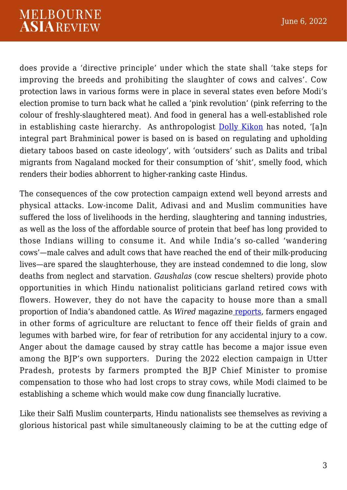does provide a 'directive principle' under which the state shall 'take steps for improving the breeds and prohibiting the slaughter of cows and calves'. Cow protection laws in various forms were in place in several states even before Modi's election promise to turn back what he called a 'pink revolution' (pink referring to the colour of freshly-slaughtered meat). And food in general has a well-established role in establishing caste hierarchy. As anthropologist [Dolly Kikon](https://www.tandfonline.com/doi/full/10.1080/01419870.2021.1964558?src=recsys) has noted, '[a]n integral part Brahminical power is based on is based on regulating and upholding dietary taboos based on caste ideology', with 'outsiders' such as Dalits and tribal migrants from Nagaland mocked for their consumption of 'shit', smelly food, which renders their bodies abhorrent to higher-ranking caste Hindus.

The consequences of the cow protection campaign extend well beyond arrests and physical attacks. Low-income Dalit, Adivasi and and Muslim communities have suffered the loss of livelihoods in the herding, slaughtering and tanning industries, as well as the loss of the affordable source of protein that beef has long provided to those Indians willing to consume it. And while India's so-called 'wandering cows'—male calves and adult cows that have reached the end of their milk-producing lives—are spared the slaughterhouse, they are instead condemned to die long, slow deaths from neglect and starvation. *Gaushalas* (cow rescue shelters) provide photo opportunities in which Hindu nationalist politicians garland retired cows with flowers. However, they do not have the capacity to house more than a small proportion of India's abandoned cattle. As *Wired* magazin[e reports](https://thewire.in/agriculture/gau-raksha-bovine-economy-agricultural-produce), farmers engaged in other forms of agriculture are reluctant to fence off their fields of grain and legumes with barbed wire, for fear of retribution for any accidental injury to a cow. Anger about the damage caused by stray cattle has become a major issue even among the BJP's own supporters. During the 2022 election campaign in Utter Pradesh, protests by farmers prompted the BJP Chief Minister to promise compensation to those who had lost crops to stray cows, while Modi claimed to be establishing a scheme which would make cow dung financially lucrative.

Like their Salfi Muslim counterparts, Hindu nationalists see themselves as reviving a glorious historical past while simultaneously claiming to be at the cutting edge of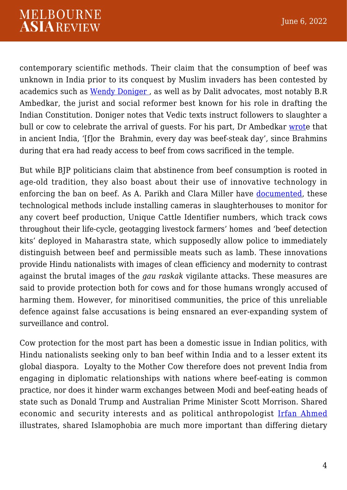contemporary scientific methods. Their claim that the consumption of beef was unknown in India prior to its conquest by Muslim invaders has been contested by academics such as Wendy Doniger, as well as by Dalit advocates, most notably B.R Ambedkar, the jurist and social reformer best known for his role in drafting the Indian Constitution. Doniger notes that Vedic texts instruct followers to slaughter a bull or cow to celebrate the arrival of quests. For his part, Dr Ambedkar [wrote](https://navayana.org/products/beef-brahmins-broken-men/?v=79cba1185463) that in ancient India, '[f]or the Brahmin, every day was beef-steak day', since Brahmins during that era had ready access to beef from cows sacrificed in the temple.

But while BJP politicians claim that abstinence from beef consumption is rooted in age-old tradition, they also boast about their use of innovative technology in enforcing the ban on beef. As A. Parikh and Clara Miller have [documented](https://edgeeffects.net/beef-testing-beef-ban/), these technological methods include installing cameras in slaughterhouses to monitor for any covert beef production, Unique Cattle Identifier numbers, which track cows throughout their life-cycle, geotagging livestock farmers' homes and 'beef detection kits' deployed in Maharastra state, which supposedly allow police to immediately distinguish between beef and permissible meats such as lamb. These innovations provide Hindu nationalists with images of clean efficiency and modernity to contrast against the brutal images of the *gau raskak* vigilante attacks. These measures are said to provide protection both for cows and for those humans wrongly accused of harming them. However, for minoritised communities, the price of this unreliable defence against false accusations is being ensnared an ever-expanding system of surveillance and control.

Cow protection for the most part has been a domestic issue in Indian politics, with Hindu nationalists seeking only to ban beef within India and to a lesser extent its global diaspora. Loyalty to the Mother Cow therefore does not prevent India from engaging in diplomatic relationships with nations where beef-eating is common practice, nor does it hinder warm exchanges between Modi and beef-eating heads of state such as Donald Trump and Australian Prime Minister Scott Morrison. Shared economic and security interests and as political anthropologist [Irfan Ahmed](https://theconversation.com/modis-polarising-populism-makes-a-fiction-of-a-secular-democratic-india-80605) illustrates, shared Islamophobia are much more important than differing dietary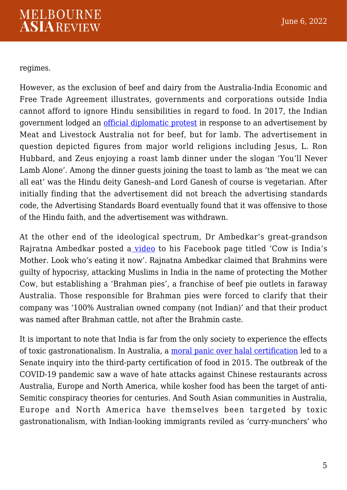regimes.

However, as the exclusion of beef and dairy from the Australia-India Economic and Free Trade Agreement illustrates, governments and corporations outside India cannot afford to ignore Hindu sensibilities in regard to food. In 2017, the Indian government lodged an *[official diplomatic protest](https://www.news.com.au/finance/business/retail/indian-government-lodge-official-diplomatic-protest-over-lamb-ad-with-hindu-god-lord-ganesha/news-story/16137f258ae8519edfedf84ac114e499)* in response to an advertisement by Meat and Livestock Australia not for beef, but for lamb. The advertisement in question depicted figures from major world religions including Jesus, L. Ron Hubbard, and Zeus enjoying a roast lamb dinner under the slogan 'You'll Never Lamb Alone'. Among the dinner guests joining the toast to lamb as 'the meat we can all eat' was the Hindu deity Ganesh–and Lord Ganesh of course is vegetarian. After initially finding that the advertisement did not breach the advertising standards code, the Advertising Standards Board eventually found that it was offensive to those of the Hindu faith, and the advertisement was withdrawn.

At the other end of the ideological spectrum, Dr Ambedkar's great-grandson Rajratna Ambedkar posted a [video](https://timesofindia.indiatimes.com/times-fact-check/news/fact-check-are-brahmins-in-australia-selling-beef-under-brahman-pies-brand/articleshow/74322056.cms) to his Facebook page titled 'Cow is India's Mother. Look who's eating it now'. Rajnatna Ambedkar claimed that Brahmins were guilty of hypocrisy, attacking Muslims in India in the name of protecting the Mother Cow, but establishing a 'Brahman pies', a franchise of beef pie outlets in faraway Australia. Those responsible for Brahman pies were forced to clarify that their company was '100% Australian owned company (not Indian)' and that their product was named after Brahman cattle, not after the Brahmin caste.

It is important to note that India is far from the only society to experience the effects of toxic gastronationalism. In Australia, a [moral panic over halal certification](https://www.crimejusticejournal.com/article/view/770) led to a Senate inquiry into the third-party certification of food in 2015. The outbreak of the COVID-19 pandemic saw a wave of hate attacks against Chinese restaurants across Australia, Europe and North America, while kosher food has been the target of anti-Semitic conspiracy theories for centuries. And South Asian communities in Australia, Europe and North America have themselves been targeted by toxic gastronationalism, with Indian-looking immigrants reviled as 'curry-munchers' who